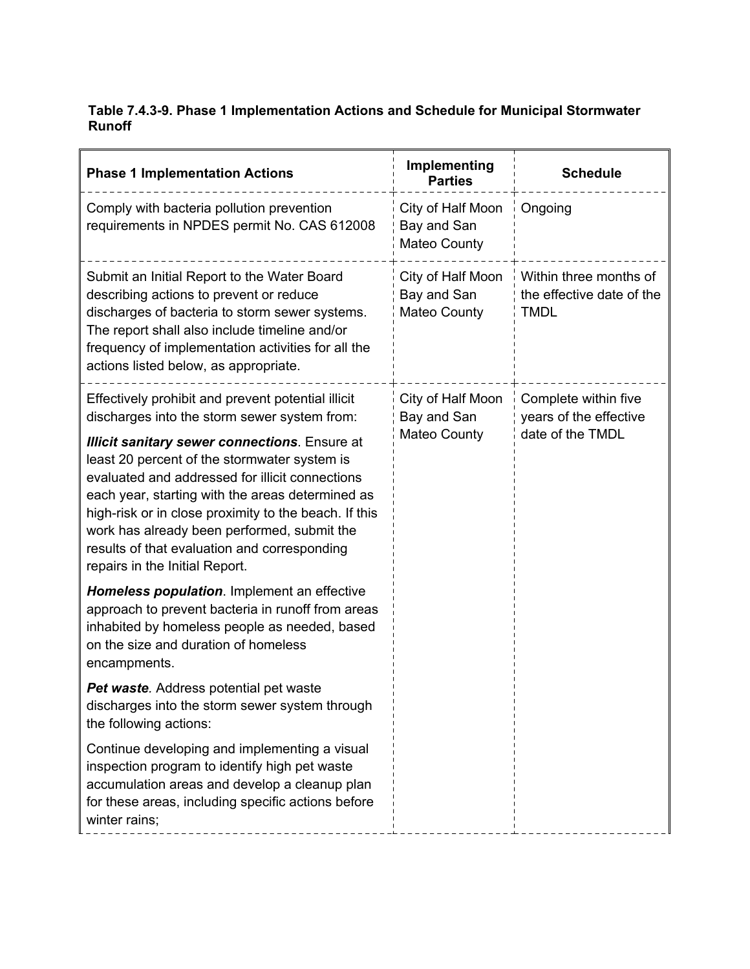## **Table 7.4.3-9. Phase 1 Implementation Actions and Schedule for Municipal Stormwater Runoff**

| <b>Phase 1 Implementation Actions</b>                                                                                                                                                                                                                                                                                                                                                                 | Implementing<br><b>Parties</b>                          | <b>Schedule</b>                                                    |
|-------------------------------------------------------------------------------------------------------------------------------------------------------------------------------------------------------------------------------------------------------------------------------------------------------------------------------------------------------------------------------------------------------|---------------------------------------------------------|--------------------------------------------------------------------|
| Comply with bacteria pollution prevention<br>requirements in NPDES permit No. CAS 612008                                                                                                                                                                                                                                                                                                              | City of Half Moon<br>Bay and San<br>Mateo County        | Ongoing                                                            |
| Submit an Initial Report to the Water Board<br>describing actions to prevent or reduce<br>discharges of bacteria to storm sewer systems.<br>The report shall also include timeline and/or<br>frequency of implementation activities for all the<br>actions listed below, as appropriate.                                                                                                              | City of Half Moon<br>Bay and San<br>Mateo County        | Within three months of<br>the effective date of the<br>TMDL        |
| Effectively prohibit and prevent potential illicit<br>discharges into the storm sewer system from:                                                                                                                                                                                                                                                                                                    | City of Half Moon<br>Bay and San<br><b>Mateo County</b> | Complete within five<br>years of the effective<br>date of the TMDL |
| <b>Illicit sanitary sewer connections. Ensure at</b><br>least 20 percent of the stormwater system is<br>evaluated and addressed for illicit connections<br>each year, starting with the areas determined as<br>high-risk or in close proximity to the beach. If this<br>work has already been performed, submit the<br>results of that evaluation and corresponding<br>repairs in the Initial Report. |                                                         |                                                                    |
| Homeless population. Implement an effective<br>approach to prevent bacteria in runoff from areas<br>inhabited by homeless people as needed, based<br>on the size and duration of homeless<br>encampments.                                                                                                                                                                                             |                                                         |                                                                    |
| Pet waste. Address potential pet waste<br>discharges into the storm sewer system through<br>the following actions:                                                                                                                                                                                                                                                                                    |                                                         |                                                                    |
| Continue developing and implementing a visual<br>inspection program to identify high pet waste<br>accumulation areas and develop a cleanup plan<br>for these areas, including specific actions before<br>winter rains;                                                                                                                                                                                |                                                         |                                                                    |